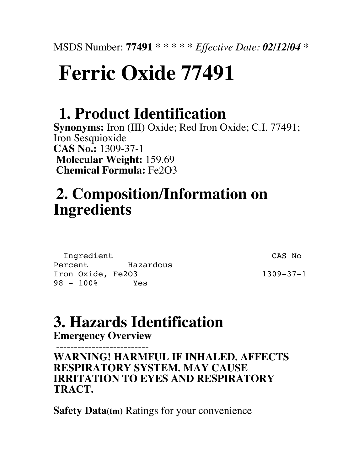# **Ferric Oxide 77491**

### **1. Product Identification**

**Synonyms:** Iron (III) Oxide; Red Iron Oxide; C.I. 77491; Iron Sesquioxide **CAS No.:** 1309-37-1 **Molecular Weight:** 159.69 **Chemical Formula:** Fe2O3

### **2. Composition/Information on Ingredients**

Ingredient CAS No Percent Hazardous Iron Oxide, Fe2O3 1309-37-1 98 - 100% Yes

### **3. Hazards Identification**

**Emergency Overview**

 -------------------------- **WARNING! HARMFUL IF INHALED. AFFECTS RESPIRATORY SYSTEM. MAY CAUSE IRRITATION TO EYES AND RESPIRATORY TRACT.**

**Safety Data(tm)** Ratings for your convenience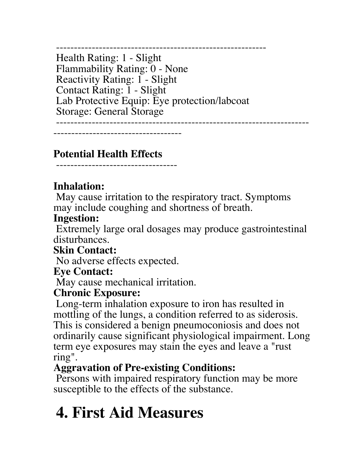----------------------------------------------------------- Health Rating: 1 - Slight Flammability Rating: 0 - None Reactivity Rating: 1 - Slight Contact Rating: 1 - Slight Lab Protective Equip: Eye protection/labcoat Storage: General Storage

------------------------------------

-----------------------------------------------------------------------

### **Potential Health Effects**

----------------------------------

### **Inhalation:**

 May cause irritation to the respiratory tract. Symptoms may include coughing and shortness of breath.

#### **Ingestion:**

 Extremely large oral dosages may produce gastrointestinal disturbances.

### **Skin Contact:**

No adverse effects expected.

### **Eye Contact:**

May cause mechanical irritation.

### **Chronic Exposure:**

 Long-term inhalation exposure to iron has resulted in mottling of the lungs, a condition referred to as siderosis. This is considered a benign pneumoconiosis and does not ordinarily cause significant physiological impairment. Long term eye exposures may stain the eyes and leave a "rust ring".

### **Aggravation of Pre-existing Conditions:**

 Persons with impaired respiratory function may be more susceptible to the effects of the substance.

# **4. First Aid Measures**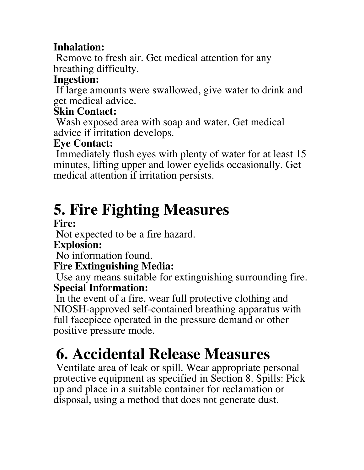### **Inhalation:**

 Remove to fresh air. Get medical attention for any breathing difficulty.

### **Ingestion:**

 If large amounts were swallowed, give water to drink and get medical advice.

### **Skin Contact:**

 Wash exposed area with soap and water. Get medical advice if irritation develops.

### **Eye Contact:**

 Immediately flush eyes with plenty of water for at least 15 minutes, lifting upper and lower eyelids occasionally. Get medical attention if irritation persists.

# **5. Fire Fighting Measures**

### **Fire:**

Not expected to be a fire hazard.

### **Explosion:**

No information found.

### **Fire Extinguishing Media:**

 Use any means suitable for extinguishing surrounding fire. **Special Information:**

 In the event of a fire, wear full protective clothing and NIOSH-approved self-contained breathing apparatus with full facepiece operated in the pressure demand or other positive pressure mode.

# **6. Accidental Release Measures**

 Ventilate area of leak or spill. Wear appropriate personal protective equipment as specified in Section 8. Spills: Pick up and place in a suitable container for reclamation or disposal, using a method that does not generate dust.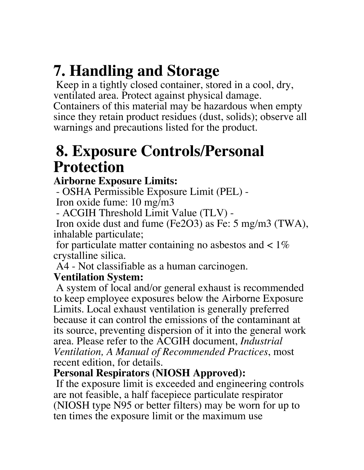# **7. Handling and Storage**

 Keep in a tightly closed container, stored in a cool, dry, ventilated area. Protect against physical damage. Containers of this material may be hazardous when empty since they retain product residues (dust, solids); observe all warnings and precautions listed for the product.

### **8. Exposure Controls/Personal Protection**

### **Airborne Exposure Limits:**

 - OSHA Permissible Exposure Limit (PEL) - Iron oxide fume: 10 mg/m3

- ACGIH Threshold Limit Value (TLV) -

 Iron oxide dust and fume (Fe2O3) as Fe: 5 mg/m3 (TWA), inhalable particulate;

for particulate matter containing no asbestos and  $\lt 1\%$ crystalline silica.

A4 - Not classifiable as a human carcinogen.

### **Ventilation System:**

 A system of local and/or general exhaust is recommended to keep employee exposures below the Airborne Exposure Limits. Local exhaust ventilation is generally preferred because it can control the emissions of the contaminant at its source, preventing dispersion of it into the general work area. Please refer to the ACGIH document, *Industrial Ventilation, A Manual of Recommended Practices*, most recent edition, for details.

### **Personal Respirators (NIOSH Approved):**

 If the exposure limit is exceeded and engineering controls are not feasible, a half facepiece particulate respirator (NIOSH type N95 or better filters) may be worn for up to ten times the exposure limit or the maximum use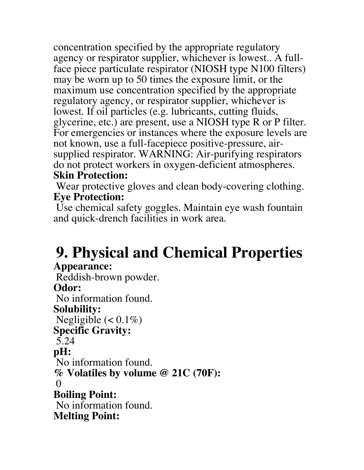concentration specified by the appropriate regulatory agency or respirator supplier, whichever is lowest.. A fullface piece particulate respirator (NIOSH type N100 filters) may be worn up to 50 times the exposure limit, or the maximum use concentration specified by the appropriate regulatory agency, or respirator supplier, whichever is lowest. If oil particles (e.g. lubricants, cutting fluids, glycerine, etc.) are present, use a NIOSH type R or P filter. For emergencies or instances where the exposure levels are not known, use a full-facepiece positive-pressure, airsupplied respirator. WARNING: Air-purifying respirators do not protect workers in oxygen-deficient atmospheres. **Skin Protection:**

Wear protective gloves and clean body-covering clothing. **Eye Protection:**

 Use chemical safety goggles. Maintain eye wash fountain and quick-drench facilities in work area.

# **9. Physical and Chemical Properties**

#### **Appearance:**

 Reddish-brown powder. **Odor:** No information found. **Solubility:** Negligible  $(< 0.1\%)$ **Specific Gravity:** 5.24 **pH:** No information found. **% Volatiles by volume @ 21C (70F):**  $\mathbf{0}$ **Boiling Point:** No information found. **Melting Point:**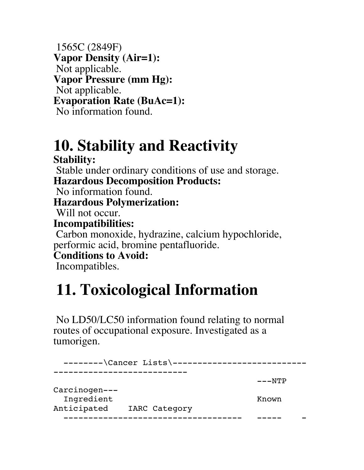1565C (2849F) **Vapor Density (Air=1):** Not applicable. **Vapor Pressure (mm Hg):** Not applicable. **Evaporation Rate (BuAc=1):** No information found.

### **10. Stability and Reactivity Stability:**

 Stable under ordinary conditions of use and storage. **Hazardous Decomposition Products:** No information found. **Hazardous Polymerization:** Will not occur.

**Incompatibilities:**

 Carbon monoxide, hydrazine, calcium hypochloride, performic acid, bromine pentafluoride.

**Conditions to Avoid:**

Incompatibles.

## **11. Toxicological Information**

 No LD50/LC50 information found relating to normal routes of occupational exposure. Investigated as a tumorigen.

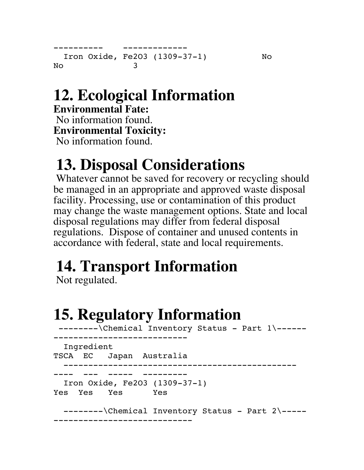```
---------- -------------
  Iron Oxide, Fe2O3 (1309-37-1) No
No 3
```
## **12. Ecological Information**

**Environmental Fate:** No information found. **Environmental Toxicity:** No information found.

# **13. Disposal Considerations**

 Whatever cannot be saved for recovery or recycling should be managed in an appropriate and approved waste disposal facility. Processing, use or contamination of this product may change the waste management options. State and local disposal regulations may differ from federal disposal regulations. Dispose of container and unused contents in accordance with federal, state and local requirements.

# **14. Transport Information**

Not regulated.

## **15. Regulatory Information**

--------\Chemical Inventory Status - Part 1\--------------------------------- Ingredient TSCA EC Japan Australia ----------------------------------------------- ---- --- ----- --------- Iron Oxide, Fe2O3 (1309-37-1) Yes Yes Yes Yes --------\Chemical Inventory Status - Part 2\---------------------------------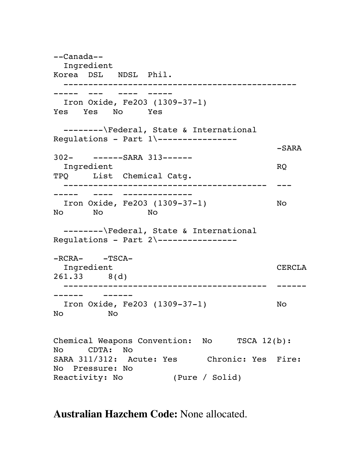--Canada-- Ingredient Korea DSL NDSL Phil. ----------------------------------------------- ----- --- ---- ----- Iron Oxide, Fe2O3 (1309-37-1) Yes Yes No Yes --------\Federal, State & International Regulations - Part 1\---------------- -SARA 302- ------SARA 313------ Ingredient RQ TPQ List Chemical Catg. ----------------------------------------- --- ----- ---- -------------- Iron Oxide, Fe2O3 (1309-37-1) No No No No --------\Federal, State & International Regulations - Part 2\---------------- $-RCRA -TSCA-$ Ingredient CERCLA 261.33 8(d) ----------------------------------------- ------ ------ ------ Iron Oxide, Fe2O3 (1309-37-1) No No No Chemical Weapons Convention: No TSCA 12(b): No CDTA: No SARA 311/312: Acute: Yes Chronic: Yes Fire: No Pressure: No Reactivity: No (Pure / Solid)

**Australian Hazchem Code:** None allocated.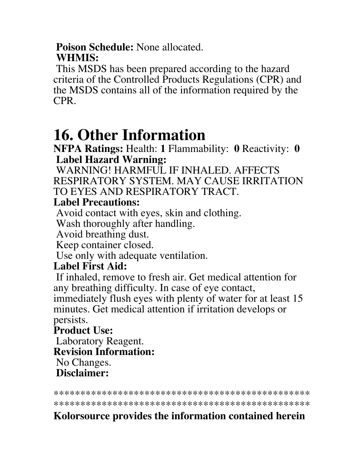#### **Poison Schedule:** None allocated. **WHMIS:**

 This MSDS has been prepared according to the hazard criteria of the Controlled Products Regulations (CPR) and the MSDS contains all of the information required by the CPR.

### **16. Other Information**

**NFPA Ratings:** Health: **1** Flammability: **0** Reactivity: **0 Label Hazard Warning:**

 WARNING! HARMFUL IF INHALED. AFFECTS RESPIRATORY SYSTEM. MAY CAUSE IRRITATION TO EYES AND RESPIRATORY TRACT.

### **Label Precautions:**

Avoid contact with eyes, skin and clothing.

Wash thoroughly after handling.

Avoid breathing dust.

Keep container closed.

Use only with adequate ventilation.

### **Label First Aid:**

 If inhaled, remove to fresh air. Get medical attention for any breathing difficulty. In case of eye contact, immediately flush eyes with plenty of water for at least 15

minutes. Get medical attention if irritation develops or persists.

### **Product Use:**

 Laboratory Reagent. **Revision Information:** No Changes. **Disclaimer:**

\*\*\*\*\*\*\*\*\*\*\*\*\*\*\*\*\*\*\*\*\*\*\*\*\*\*\*\*\*\*\*\*\*\*\*\*\*\*\*\*\*\*\*\*\*\*\*\*

\*\*\*\*\*\*\*\*\*\*\*\*\*\*\*\*\*\*\*\*\*\*\*\*\*\*\*\*\*\*\*\*\*\*\*\*\*\*\*\*\*\*\*\*\*\*\*\*

### **Kolorsource provides the information contained herein**